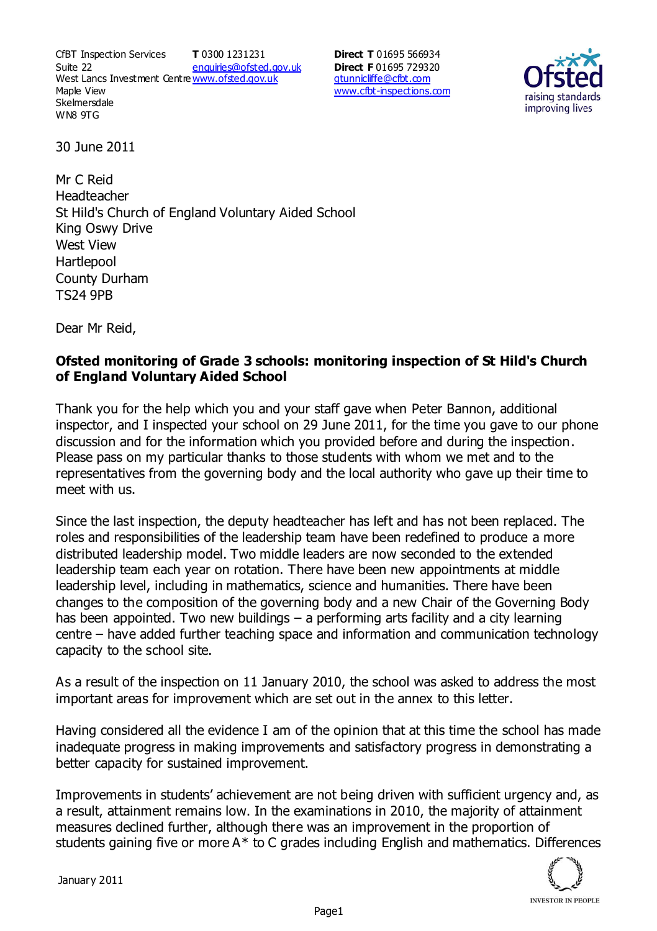CfBT Inspection Services Suite 22 West Lancs Investment Centre<u>www.ofsted.gov.uk</u> Maple View **Skelmersdale** WN8 9TG **T** 0300 1231231 enquiries@ofsted.gov.uk **Direct T** 01695 566934 **Direct F** 01695 729320 gtunnicliffe@cfbt.com www.cfbt-inspections.com



30 June 2011

Mr C Reid Headteacher St Hild's Church of England Voluntary Aided School King Oswy Drive West View **Hartlepool** County Durham TS24 9PB

Dear Mr Reid,

## **Ofsted monitoring of Grade 3 schools: monitoring inspection of St Hild's Church of England Voluntary Aided School**

Thank you for the help which you and your staff gave when Peter Bannon, additional inspector, and I inspected your school on 29 June 2011, for the time you gave to our phone discussion and for the information which you provided before and during the inspection. Please pass on my particular thanks to those students with whom we met and to the representatives from the governing body and the local authority who gave up their time to meet with us.

Since the last inspection, the deputy headteacher has left and has not been replaced. The roles and responsibilities of the leadership team have been redefined to produce a more distributed leadership model. Two middle leaders are now seconded to the extended leadership team each year on rotation. There have been new appointments at middle leadership level, including in mathematics, science and humanities. There have been changes to the composition of the governing body and a new Chair of the Governing Body has been appointed. Two new buildings – a performing arts facility and a city learning centre – have added further teaching space and information and communication technology capacity to the school site.

As a result of the inspection on 11 January 2010, the school was asked to address the most important areas for improvement which are set out in the annex to this letter.

Having considered all the evidence I am of the opinion that at this time the school has made inadequate progress in making improvements and satisfactory progress in demonstrating a better capacity for sustained improvement.

Improvements in students' achievement are not being driven with sufficient urgency and, as a result, attainment remains low. In the examinations in 2010, the majority of attainment measures declined further, although there was an improvement in the proportion of students gaining five or more A\* to C grades including English and mathematics. Differences

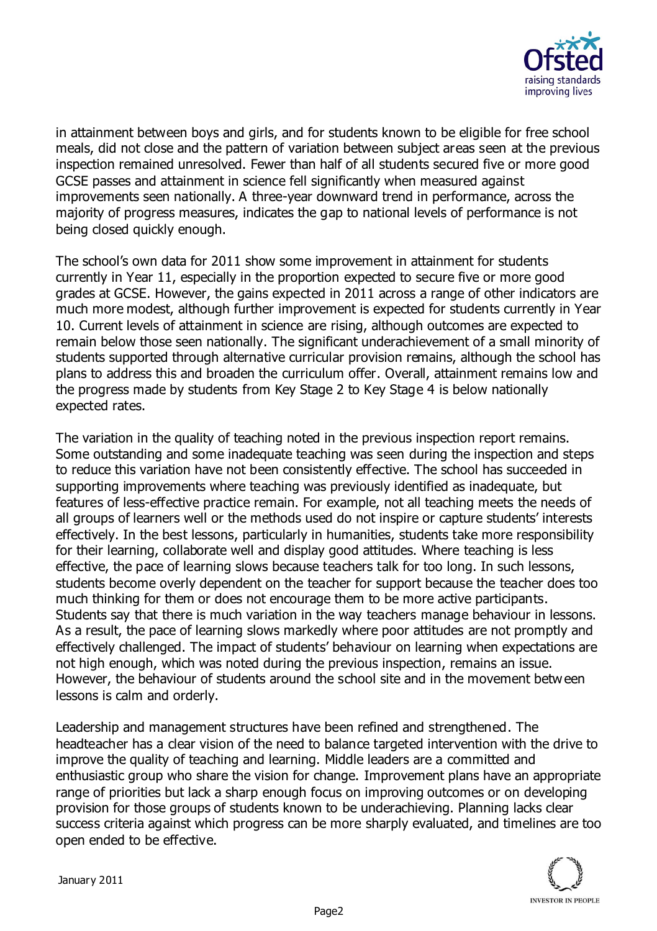

in attainment between boys and girls, and for students known to be eligible for free school meals, did not close and the pattern of variation between subject areas seen at the previous inspection remained unresolved. Fewer than half of all students secured five or more good GCSE passes and attainment in science fell significantly when measured against improvements seen nationally. A three-year downward trend in performance, across the majority of progress measures, indicates the gap to national levels of performance is not being closed quickly enough.

The school's own data for 2011 show some improvement in attainment for students currently in Year 11, especially in the proportion expected to secure five or more good grades at GCSE. However, the gains expected in 2011 across a range of other indicators are much more modest, although further improvement is expected for students currently in Year 10. Current levels of attainment in science are rising, although outcomes are expected to remain below those seen nationally. The significant underachievement of a small minority of students supported through alternative curricular provision remains, although the school has plans to address this and broaden the curriculum offer. Overall, attainment remains low and the progress made by students from Key Stage 2 to Key Stage 4 is below nationally expected rates.

The variation in the quality of teaching noted in the previous inspection report remains. Some outstanding and some inadequate teaching was seen during the inspection and steps to reduce this variation have not been consistently effective. The school has succeeded in supporting improvements where teaching was previously identified as inadequate, but features of less-effective practice remain. For example, not all teaching meets the needs of all groups of learners well or the methods used do not inspire or capture students' interests effectively. In the best lessons, particularly in humanities, students take more responsibility for their learning, collaborate well and display good attitudes. Where teaching is less effective, the pace of learning slows because teachers talk for too long. In such lessons, students become overly dependent on the teacher for support because the teacher does too much thinking for them or does not encourage them to be more active participants. Students say that there is much variation in the way teachers manage behaviour in lessons. As a result, the pace of learning slows markedly where poor attitudes are not promptly and effectively challenged. The impact of students' behaviour on learning when expectations are not high enough, which was noted during the previous inspection, remains an issue. However, the behaviour of students around the school site and in the movement between lessons is calm and orderly.

Leadership and management structures have been refined and strengthened. The headteacher has a clear vision of the need to balance targeted intervention with the drive to improve the quality of teaching and learning. Middle leaders are a committed and enthusiastic group who share the vision for change. Improvement plans have an appropriate range of priorities but lack a sharp enough focus on improving outcomes or on developing provision for those groups of students known to be underachieving. Planning lacks clear success criteria against which progress can be more sharply evaluated, and timelines are too open ended to be effective.

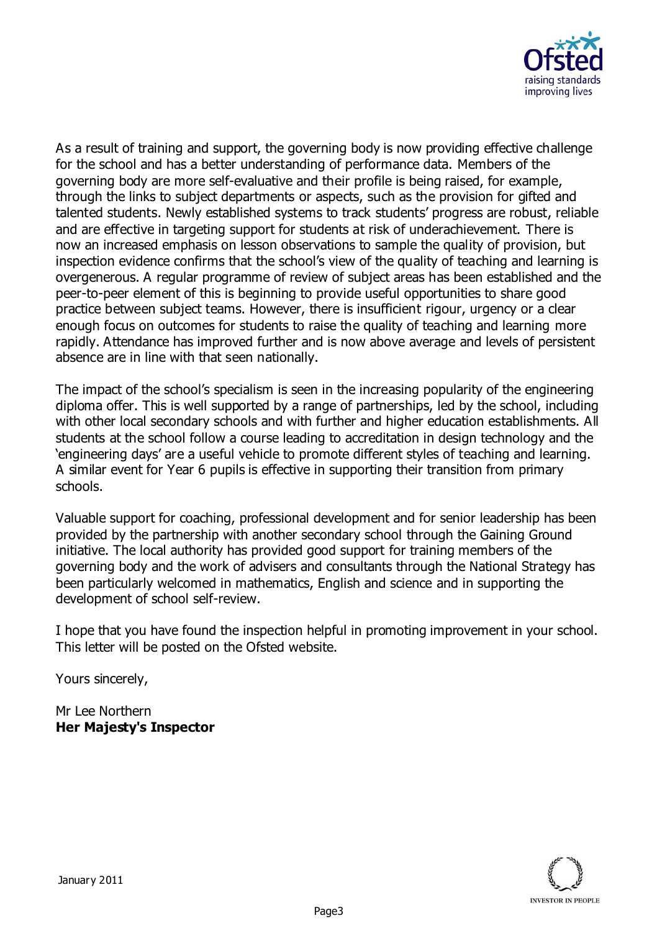

As a result of training and support, the governing body is now providing effective challenge for the school and has a better understanding of performance data. Members of the governing body are more self-evaluative and their profile is being raised, for example, through the links to subject departments or aspects, such as the provision for gifted and talented students. Newly established systems to track students' progress are robust, reliable and are effective in targeting support for students at risk of underachievement. There is now an increased emphasis on lesson observations to sample the quality of provision, but inspection evidence confirms that the school's view of the quality of teaching and learning is overgenerous. A regular programme of review of subject areas has been established and the peer-to-peer element of this is beginning to provide useful opportunities to share good practice between subject teams. However, there is insufficient rigour, urgency or a clear enough focus on outcomes for students to raise the quality of teaching and learning more rapidly. Attendance has improved further and is now above average and levels of persistent absence are in line with that seen nationally.

The impact of the school's specialism is seen in the increasing popularity of the engineering diploma offer. This is well supported by a range of partnerships, led by the school, including with other local secondary schools and with further and higher education establishments. All students at the school follow a course leading to accreditation in design technology and the 'engineering days' are a useful vehicle to promote different styles of teaching and learning. A similar event for Year 6 pupils is effective in supporting their transition from primary schools.

Valuable support for coaching, professional development and for senior leadership has been provided by the partnership with another secondary school through the Gaining Ground initiative. The local authority has provided good support for training members of the governing body and the work of advisers and consultants through the National Strategy has been particularly welcomed in mathematics, English and science and in supporting the development of school self-review.

I hope that you have found the inspection helpful in promoting improvement in your school. This letter will be posted on the Ofsted website.

Yours sincerely,

Mr Lee Northern **Her Majesty's Inspector**